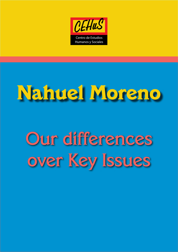

# **Nahuel Moreno**

## Our differences over Key Issues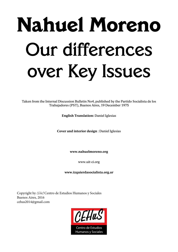# **Nahuel Moreno** Our differences over Key Issues

Taken from the Internal Discussion Bulletin No4, published by the Partido Socialista de los Trabajadores (PST), Buenos Aires, 19 December 1975

**English Translation:** Daniel Iglesias

**Cover and interior design** : Daniel Iglesias

**www.nahuelmoreno.org**

www.uit-ci.org

**www.izquierdasocialista.org.ar**

Copyright by *CEHuS* Centro de Estudios Humanos y Sociales Buenos Aires, 2016 cehus2014@gmail.com

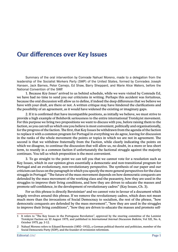### **Our differences over Key Issues**

Summary of the oral intervention by Comrade Nahuel Moreno, made to a delegation from the leadership of the Socialist Workers Party (SWP) of the United States, formed by Comrades Joseph Hansen, Jack Barnes, Peter Camejo, Ed Shaw, Barry Sheppard, and Marie Alice Waters, before the National Convention of the SWP.

1. Because *Key Issues<sup>1</sup>* arrived to us behind schedule, while we were visited by Comrade Ed, we have had no time to send you our criticisms in writing. Perhaps this accident was fortuitous, because the oral discussion will allow us to define, if indeed the deep differences that we believe we have with your draft, are there or not. A written critique may have hindered the clarifications and the possibility of an agreement, as it would have widened the existing or imaginary gaps.

2. If it is confirmed that have incompatible positions, as initially we believe, we must strive to provide a high example of Bolshevik seriousness to the entire international Trotskyist movement. For this purpose we bring two propositions we want to discuss with you, before raising them to the faction, so you can tell us which one you believe is most convenient, politically and organisationally, for the progress of the faction. The first, that Key Issues be withdrawn from the agenda of the faction to replace it with a common program for Portugal in everything we do agree, leaving for discussion in the ranks of the whole movement the points or topics in which we are not in agreement. The second is that we withdraw fraternally from the Faction, while clearly indicating the points on which we disagree, to continue the discussion that will allow us, no doubt, in a more or less short term, to reunify in a common faction if unfortunately the factional struggle against the majority continues. You tell us which proposition is the most convenient.

3. To go straight to the point we can tell you that we cannot vote for a resolution such as Key Issues, which in our opinion gives essentially a democratic and non-transitional program for Portugal and an evolutionary, non-revolutionary perspective. The synthesis of our paper and our criticism can focus on the paragraph in which you specify the more general perspectives for the class struggle in Portugal: "The future of the mass movement depends on how democratic conquests are defended by the mass movement of the working class and the peasantry, how they are used in the struggles to improve their living conditions, and how they are driven to educate the masses and promote self-confidence, in the development of revolutionary cadres" (Key Issues, Ch. 3).

For us this phrase is directly Bersteinian $^{\text{2}}$  and we cannot vote in favour of a document which largely revolves around this phrase. If we remove the revolutionary cadres, which does not mean much more than the invocations of Social Democracy to socialism, the rest of the phrase, "how democratic conquests are defended by the mass movement", "how they are used in the struggles to improve their living conditions", "how they are driven to educate the masses and promote self-

<sup>1</sup> It refers to "The Key Issues in the Portuguese Revolution", approved by the steering committee of the Leninist Trotskyist Faction on 30 August 1975, and published in *International Internal Discussion Bulletin*, Vol XII, No. 6, October 1975, pp. 3-12.

<sup>2</sup> Nahuel Moreno refers to Eduard Bernstein (1850–1932), a German political theorist and politician, member of the Social Democratic Party (SDP), and the founder of revisionist reformism.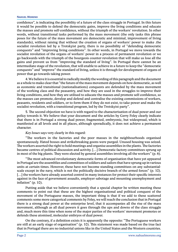#### **Nahuel Moreno**

confidence", is indicating the possibility of a future of the class struggle in Portugal. In this future it would be possible to defend the democratic gains, improve the living conditions and educate the masses and promote self-confidence, without the triumph of the workers' revolution. In other words, without transitional tasks performed by the mass movement (the only tasks this phrase poses for the future of the mass movement are democratic and minimal, improvement of living standards), without raising that without the creation of organs of workers' power to make .the socialist revolution led by a Trotskyist party, there is no possibility of "defending democratic conquests" and "improving living conditions". In other words, in Portugal we move towards the socialist revolution of the organs of workers' power in a process of permanent revolution or we go backwards with the triumph of the bourgeois counter-revolution that will make us lose all the gains and prevent us from "improving the standard of living". In Portugal there cannot be an intermediate stage of the revolution, that will enable to achieve in a future to keep the "democratic conquests" and "improve" the standard of living, unless it is through for development of organs of power that go towards taking power.

4. We believe it is essential to radically modify the wording of this paragraph and the document as a whole to make clear that "the future of the mass movement depends on how democratic, as well as economic and transitional (nationalisations) conquests are defended by the mass movement of the working class and the peasantry, and how they are used in the struggles to improve their living conditions, and how they are utilised to educate the masses and promote self-confidence, so the masses can promote, develop and defend and centralise the existing commissions of workers, peasants, residents and soldiers, or to form them if they do not exist, to take power and make the socialist revolution, with a transitional program, led by the Trotskyist party".

5. The second objection we have is with regard to the characterisation of dual power and our policy towards it. We believe that your document and the articles by Gerry Foley clearly indicate that there is in Portugal a strong dual power, fragmented, embryonic, but widespread, which is manifested at all levels and in all places, although sporadically, it does not achieve a permanent character.

*Key Issues* says very clearly in this regard:

"The workers in the factories and the poor masses in the neighbourhoods organised spontaneously. Hated bosses and strikebreaking goons were purged. Unused housing was seized. The workers asserted the right to hold meetings and organise assemblies in the plants. The factories became centres of political discussion and activity. […] Democratic factory committees sprung up in most of the big plants. They were elected by general assemblies involving all the workers" (p. 6).

"The most advanced revolutionary democratic forms of organisation that have yet appeared in Portugal are the assemblies and committees of soldiers and sailors that have sprung up in various units at certain times. However, these have not become standing committees on any substantialscale except in the navy, which is not the politically decisive branch of the armed forces" (p. 10). [...] the workers have already asserted control in many instances for protect their specific interests against in the face of government assaults, employer sabotage and mounting unemployment and inflation" (p. 10).

Putting aside that we believe conveniently that a special chapter be written meeting these comments to point out that these are the highest organisational and political conquest of the movement of the Portuguese masses, the important thing is that if we add to these scattered comments some more categorical comments by Foley, we will reach the conclusion that in Portugal there is a strong dual power at the enterprise level, that it accompanies all the rise of the mass movement, although as all dual powers it goes through the ups and downs of the class struggle and, much more this time when none of the major parties of the workers' movement promotes or defends these atomised, molecular embryos of dual power.

On the contrary, if a definition exists it is apparently the opposite: "The Portuguese workers are still at an early stage of organisation" (p. 10). This statement was made based on the true fact that in Portugal there are no industrial unions like in the United States and the Western countries.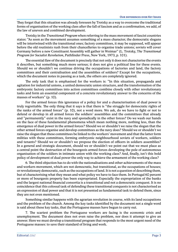They forget that this situation was already foreseen by Trotsky as a way to overcome the traditional forms of organisation of the working class after the fall of fascism and as a confirmation, we add, of the law of uneven and combined development.

Trotsky in the *Transitional Program* when referring to the mass movement of fascist countries states: "As soon as the movement assumes something of a mass character, the democratic slogans will be intertwined with the transitional ones; factory committees, it may be supposed, will appear before the old routinists rush from their chancelleries to organise trade unions; soviets will cover Germany before a new Constituent Assembly will gather in Weimar" (L. Trotsky, T*he Transitional Program for Socialist Revolution*, Pathfinder Press, New York, 1973, p. 101).

The essential flaw of the document is precisely that not only it does not characterise the events it describes, but something much more serious; it does not give a political line for these events. Should we or shouldn't we continue driving the occupations of factories and land, the factory committees and their centralisation and the assemblies of soldiers? Except for the occupations, which the document notes in passing as a task, the others are completely ignored.

The only task that is emphasised for the workers is: "In this situation, propaganda and agitation for industrial unions, a united democratic union structure, and the transformation of the embryonic factory committees into action committees combine closely with other revolutionary tasks and form an essential component of a concrete revolutionary answer to the concerns of the masses of workers" (p. 10).

For the armed forces this ignorance of a policy for and a characterisation of dual power is truly regrettable. The only thing that it says is that there is "the struggle for democratic rights of the ranks of the armed forces" (p. 10), not a word more. We ask, do we have to fight or not to defend or develop in all armed forces the soldiers' assemblies and the committees that already and "permanently" exist in the navy and sporadically in the other forces? Do we wash our hands on the face of these fundamental phenomena which mean nothing more, nothing less, than the emergence of dual power in the armed forces? Should we or shouldn't we raise the slogan that the other armed forces organise and develop committees as the navy does? Should we or shouldn't we raise the slogan that these committees be linked to the workers' movement and that the latter form militias with these committees, forming embryonic neighbourhood soviets of workers, soldiers and tenants? Should we or shouldn't we propose the election of officers in soldiers assemblies? In a general and strategic document, should we or shouldn't we point out that we must place as a central point the destruction of the bourgeois armed forces developing the pole of autonomous organisation of the soldiers in intimate union with the working class? And, finally, isn't this bold policy of development of dual power the only way to achieve the armament of the working class?

6. The third objection has to do with the nationalisations and other achievements of the mass and workers movement, which are not democratic, but transitional, as the occupations of houses; or revolutionary democratic, such as the occupations of land. It is not a question of describing them, but of characterising what they mean and what policy we have to face them. In Portugal 60 percent or more of bourgeois property has been expropriated. Especially the expropriation of the banks and the largest national financial consortia is a transitional and not a democratic conquest. It is no coincidence that this colossal task of defending these transitional conquests is not characterised as an expression of dual power and that it is not presented as fundamental task to defend them, since they are not even mentioned.

Something similar happens with the agrarian revolution in course, with its land occupations and the problem of the church. Among the key tasks identified by the document not a single word is said about these key tasks, that the Portuguese masses have begun to carry out.

7. The scariest problem the Portuguese workers are facing is the economic crisis and unemployment. The document does not even raise the problem, nor does it attempt to give an answer. Here we must develop a transitional program that responds to the most urgent need of the Portuguese masses: to save their standard of living and work.